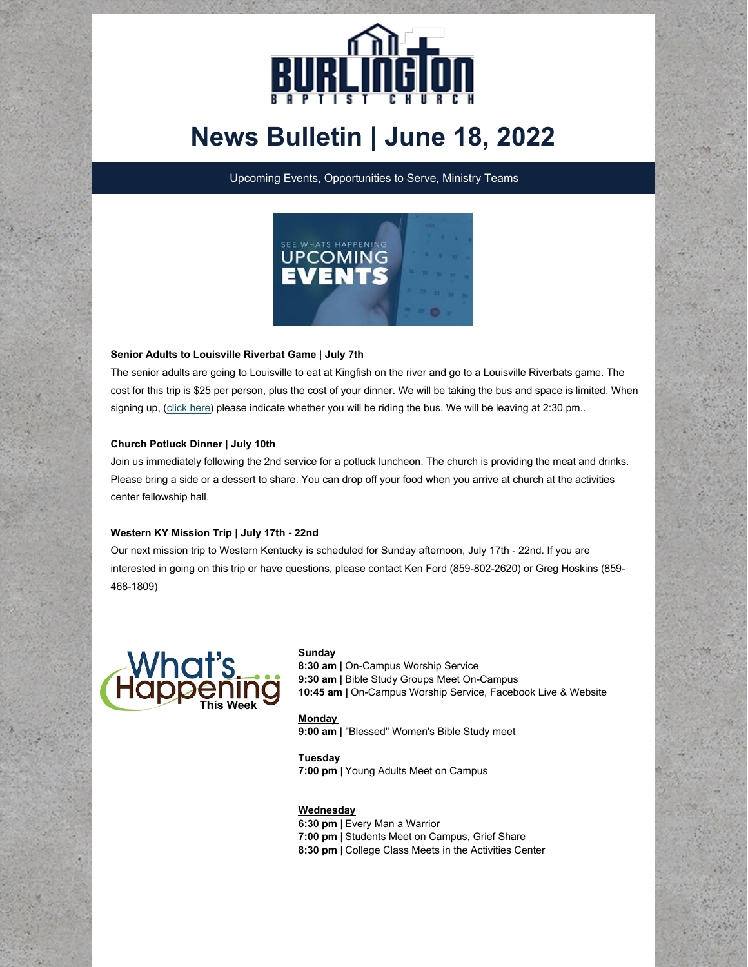

# **News Bulletin | June 18, 2022**

Upcoming Events, Opportunities to Serve, Ministry Teams



# **Senior Adults to Louisville Riverbat Game | July 7th**

The senior adults are going to Louisville to eat at Kingfish on the river and go to a Louisville Riverbats game. The cost for this trip is \$25 per person, plus the cost of your dinner. We will be taking the bus and space is limited. When signing up, [\(click](https://onrealm.org/burlingtonbaptist/PublicRegistrations/Event?linkString=YWEzOGMzOWQtYzAxYi00NWNhLWI2Y2ItYWVhMTAxNDY5YjM0) here) please indicate whether you will be riding the bus. We will be leaving at 2:30 pm..

### **Church Potluck Dinner | July 10th**

Join us immediately following the 2nd service for a potluck luncheon. The church is providing the meat and drinks. Please bring a side or a dessert to share. You can drop off your food when you arrive at church at the activities center fellowship hall.

## **Western KY Mission Trip | July 17th - 22nd**

Our next mission trip to Western Kentucky is scheduled for Sunday afternoon, July 17th - 22nd. If you are interested in going on this trip or have questions, please contact Ken Ford (859-802-2620) or Greg Hoskins (859- 468-1809)



### **Sunday**

**8:30 am |** On-Campus Worship Service **9:30 am |** Bible Study Groups Meet On-Campus **10:45 am |** On-Campus Worship Service, Facebook Live & Website

**Monday 9:00 am |** "Blessed" Women's Bible Study meet

**Tuesday 7:00 pm |** Young Adults Meet on Campus

### **Wednesday**

**6:30 pm |** Every Man a Warrior **7:00 pm |** Students Meet on Campus, Grief Share **8:30 pm |** College Class Meets in the Activities Center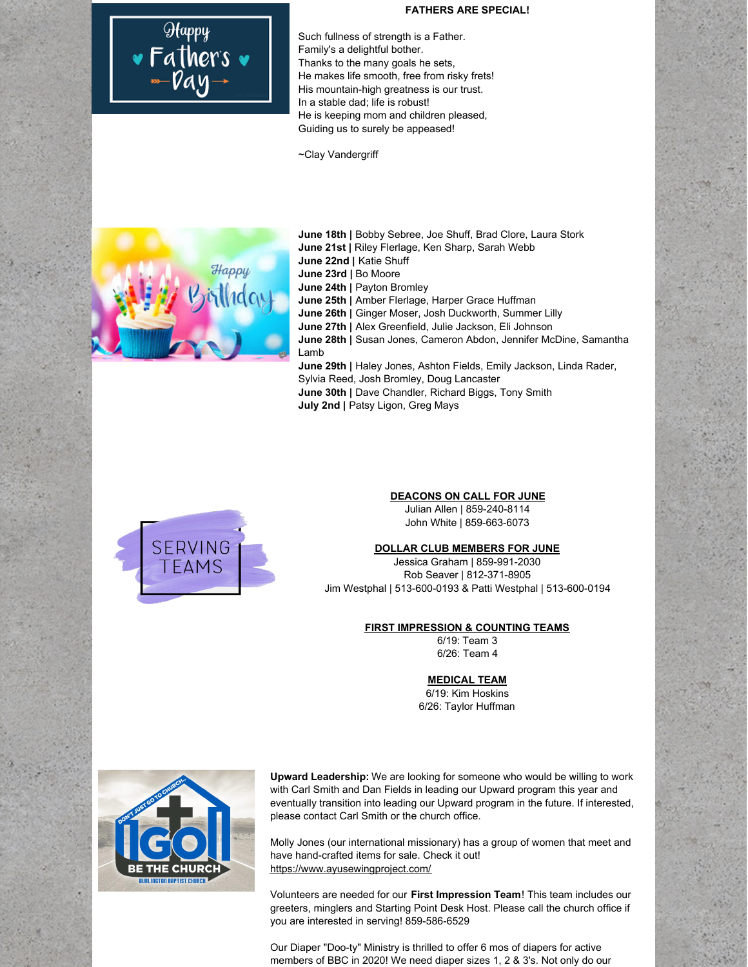# Happy<br>• Father's •<br>• Day

### **FATHERS ARE SPECIAL!**

Such fullness of strength is a Father. Family's a delightful bother. Thanks to the many goals he sets, He makes life smooth, free from risky frets! His mountain-high greatness is our trust. In a stable dad; life is robust! He is keeping mom and children pleased, Guiding us to surely be appeased!

~Clay Vandergriff



**June 18th |** Bobby Sebree, Joe Shuff, Brad Clore, Laura Stork **June 21st |** Riley Flerlage, Ken Sharp, Sarah Webb **June 22nd |** Katie Shuff **June 23rd |** Bo Moore **June 24th |** Payton Bromley **June 25th |** Amber Flerlage, Harper Grace Huffman **June 26th |** Ginger Moser, Josh Duckworth, Summer Lilly **June 27th |** Alex Greenfield, Julie Jackson, Eli Johnson **June 28th |** Susan Jones, Cameron Abdon, Jennifer McDine, Samantha Lamb **June 29th |** Haley Jones, Ashton Fields, Emily Jackson, Linda Rader, Sylvia Reed, Josh Bromley, Doug Lancaster **June 30th |** Dave Chandler, Richard Biggs, Tony Smith **July 2nd |** Patsy Ligon, Greg Mays



### **DEACONS ON CALL FOR JUNE**

Julian Allen | 859-240-8114 John White | 859-663-6073

### **DOLLAR CLUB MEMBERS FOR JUNE**

Jessica Graham | 859-991-2030 Rob Seaver | 812-371-8905 Jim Westphal | 513-600-0193 & Patti Westphal | 513-600-0194

### **FIRST IMPRESSION & COUNTING TEAMS**

6/19: Team 3 6/26: Team 4

### **MEDICAL TEAM**

6/19: Kim Hoskins 6/26: Taylor Huffman



**Upward Leadership:** We are looking for someone who would be willing to work with Carl Smith and Dan Fields in leading our Upward program this year and eventually transition into leading our Upward program in the future. If interested, please contact Carl Smith or the church office.

Molly Jones (our international missionary) has a group of women that meet and have hand-crafted items for sale. Check it out! <https://www.ayusewingproject.com/>

Volunteers are needed for our **First Impression Team**! This team includes our greeters, minglers and Starting Point Desk Host. Please call the church office if you are interested in serving! 859-586-6529

Our Diaper "Doo-ty" Ministry is thrilled to offer 6 mos of diapers for active members of BBC in 2020! We need diaper sizes 1, 2 & 3's. Not only do our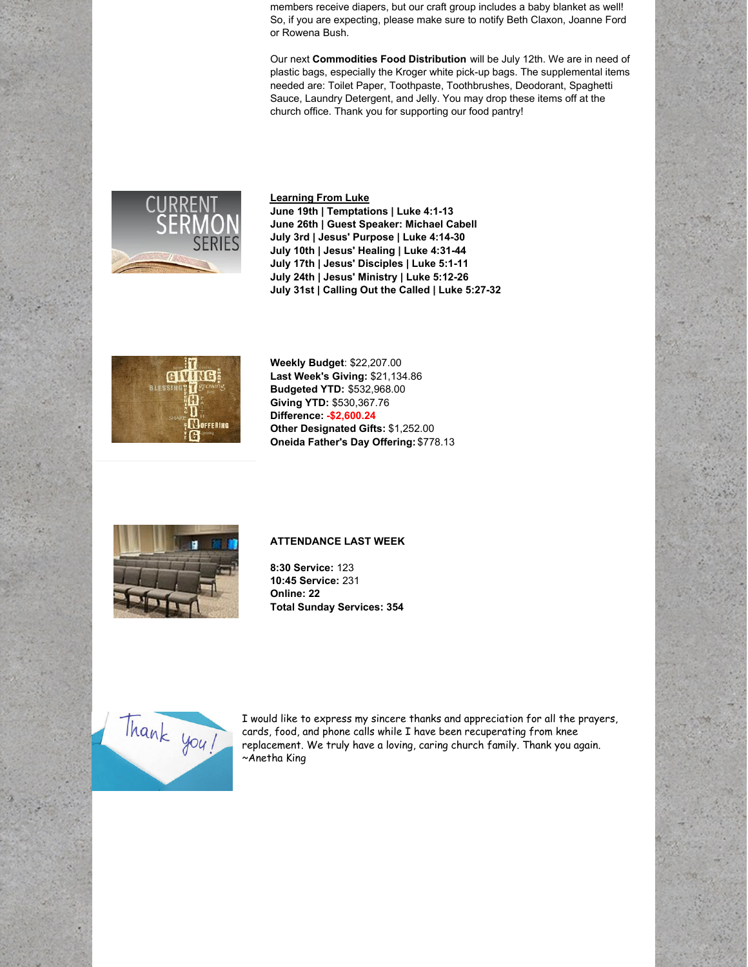members receive diapers, but our craft group includes a baby blanket as well! So, if you are expecting, please make sure to notify Beth Claxon, Joanne Ford or Rowena Bush.

Our next **Commodities Food Distribution** will be July 12th. We are in need of plastic bags, especially the Kroger white pick-up bags. The supplemental items needed are: Toilet Paper, Toothpaste, Toothbrushes, Deodorant, Spaghetti Sauce, Laundry Detergent, and Jelly. You may drop these items off at the church office. Thank you for supporting our food pantry!



### **Learning From Luke**

**June 19th | Temptations | Luke 4:1-13 June 26th | Guest Speaker: Michael Cabell July 3rd | Jesus' Purpose | Luke 4:14-30 July 10th | Jesus' Healing | Luke 4:31-44 July 17th | Jesus' Disciples | Luke 5:1-11 July 24th | Jesus' Ministry | Luke 5:12-26 July 31st | Calling Out the Called | Luke 5:27-32**



**Weekly Budget**: \$22,207.00 **Last Week's Giving:** \$21,134.86 **Budgeted YTD:** \$532,968.00 **Giving YTD:** \$530,367.76 **Difference: -\$2,600.24 Other Designated Gifts:** \$1,252.00 **Oneida Father's Day Offering:** \$778.13



## **ATTENDANCE LAST WEEK**

**8:30 Service:** 123 **10:45 Service:** 231 **Online: 22 Total Sunday Services: 354**



I would like to express my sincere thanks and appreciation for all the prayers, cards, food, and phone calls while I have been recuperating from knee replacement. We truly have a loving, caring church family. Thank you again. ~Anetha King